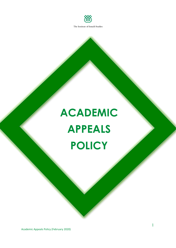

# **ACADEMIC APPEALS POLICY**

Academic Appeals Policy (February 2020)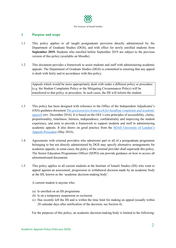

# **1 Purpose and scope**

- 1.1 This policy applies to all taught postgraduate provision directly administered by the Department of Graduate Studies (DGS), and with effect for newly enrolled students from **September 2019.** Students who enrolled before September 2019 are subject to the previous version of this policy (available on Moodle).
- 1.2 This document provides a framework to assist students and staff with administering academic appeals. The Department of Graduate Studies (DGS) is committed to ensuring that any appeal is dealt with fairly and in accordance with this policy.

Appeals which would be more appropriately dealt with under a different policy or procedure (e.g. the Student Complaints Policy or the Mitigating Circumstances Policy) will be transferred to that policy or procedure. In such cases, the IIS will inform the student.

- 1.3 This policy has been designed with reference to the Office of the Independent Adjudicator's (OIA) guidance document *[The good practice framework for handling](https://www.oiahe.org.uk/media/96361/oia-good-practice-framework.pdf) [complaints and academic](https://www.oiahe.org.uk/media/96361/oia-good-practice-framework.pdf)  [appeals](https://www.oiahe.org.uk/media/96361/oia-good-practice-framework.pdf)* [\(](https://www.oiahe.org.uk/media/96361/oia-good-practice-framework.pdf)rev. December 2016). It is based on the OIA's core principles of accessibility, clarity, proportionality, timeliness, fairness, independence, confidentiality and improving the student experience, and aims to provide a framework to support students and staff in administering academic appeals. It also draws on good practice from the [SOAS University of London's](https://www.soas.ac.uk/registry/degreeregulations/file114933.pdf)  [Appeals Procedure](https://www.soas.ac.uk/registry/degreeregulations/file114933.pdf) (May 2016).
- 1.4 Agreements with external providers who administer part or all of a postgraduate programme belonging to but not directly administered by DGS may specify alternative arrangements for academic appeals; in some cases, the policy of the external provider shall supersede this policy. The Senior Education Programmes Officer (SEPO) can provide guidance on how to access all aforementioned documents.
- 1.5 This policy applies to all current students at the Institute of Ismaili Studies (IIS) who want to appeal against an assessment, progression or withdrawal decision made by an academic body at the IIS, known as the 'academic decision-making body'.

A current student is anyone who:

- *(a)* Is enrolled on an IIS programme
- *(b)* Is on a temporary suspension or exclusion
- *(c)* Has recently left the IIS and is within the time limit for making an appeal (usually within 20 calendar days after notification of the decision; see Section 4).

For the purposes of this policy, an academic decision-making body is limited to the following: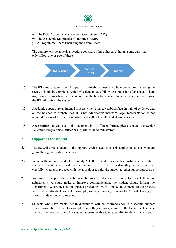

The Institute of Ismaili Studies

- *(a)* The DGS Academic Management Committee (AMC)
- *(b)* The Academic Malpractice Committee (AMPC)
- *(c)* A Programme Board (including the Exam Board).

The comprehensive appeals procedure consists of three phases, although some cases may only follow one or two of these:



- 1.6 The IIS aims to administer all appeals in a timely manner: the whole procedure (including the review) should be completed within 90 calendar days following submission of an appeal. There may be occasions where, with good reason, the timeframe needs to be extended; in such cases, the IIS will inform the student.
- 1.7 Academic appeals are an internal process which aims to establish facts in light of evidence and on the balance of probabilities. It is not adversarial; therefore, legal representation is not required by any of the parties involved and will not be allowed at any hearings.
- 1.8 **Accessibility:** If you need this document in a different format, please contact the Senior Education Programmes Officer or Departmental Administrator.

# **2 Supporting the student**

- 2.1 The IIS will direct students to the support services available. This applies to students who are going through appeals procedures.
- 2.2 In line with our duties under the Equality Act 2010 to make reasonable adjustments for disabled students, if a student says the academic concern is related to a disability, we will consider carefully whether to proceed with the appeal, or to refer the student to other support processes.
- 2.3 We aim for our procedures to be available to all students in accessible formats. If there are adjustments we could make to improve communication, the student should inform the Department. Where needed, in appeals procedures we will make adjustments to the process followed in individual cases. For example, we may make adjustments for Appeal Hearings, or allow a student longer to respond.
- 2.4 Students who have mental health difficulties will be informed about the specific support services available to them, for example counselling services, as soon as the Department is made aware of the need to do so. If a student appears unable to engage effectively with the appeals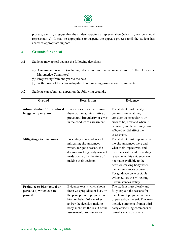

process, we may suggest that the student appoints a representative (who may not be a legal representative). It may be appropriate to suspend the appeals process until the student has accessed appropriate support.

# **3 Grounds for appeal**

- 3.1 Students may appeal against the following decisions:
	- *(a)* Assessment results (including decisions and recommendations of the Academic Malpractice Committee)
	- *(b)* Progressing from one year to the next
	- *(c)* Withdrawal of the scholarship due to not meeting progression requirements.
- 3.2 Students can submit an appeal on the following grounds:

| Ground                          | <b>Description</b>               | <b>Evidence</b>                                               |  |
|---------------------------------|----------------------------------|---------------------------------------------------------------|--|
|                                 |                                  |                                                               |  |
| Administrative or procedural    | Evidence exists which shows      | The student must clearly                                      |  |
| irregularity or error           | there was an administrative or   | demonstrate what they                                         |  |
|                                 | procedural irregularity or error | consider the irregularity or                                  |  |
|                                 | in the conduct of assessment.    | error to be, how and when it                                  |  |
|                                 |                                  | occurred, and how it may have                                 |  |
|                                 |                                  | affected or did affect the                                    |  |
|                                 |                                  | assessment.                                                   |  |
| <b>Mitigating circumstances</b> | Presenting new evidence of       | The student must explain what                                 |  |
|                                 | mitigating circumstances         | the circumstances were and                                    |  |
|                                 | which, for good reason, the      | what their impact was, and                                    |  |
|                                 | decision-making body was not     | provide a valid and overriding                                |  |
|                                 | made aware of at the time of     | reason why this evidence was                                  |  |
|                                 | making their decision.           | not made available to the                                     |  |
|                                 |                                  | decision-making body when                                     |  |
|                                 |                                  | the circumstances occurred.                                   |  |
|                                 |                                  | For guidance on acceptable                                    |  |
|                                 |                                  | evidence, see the Mitigating                                  |  |
|                                 |                                  | Circumstances Policy.                                         |  |
| Prejudice or bias (actual or    | Evidence exists which shows      | The student must clearly and                                  |  |
| perceived) which can be         | there was prejudice or bias, or  | fully explain the reasons for                                 |  |
| proved                          | the perception of prejudice or   | the claim of prejudice or bias,                               |  |
|                                 | bias, on behalf of a marker      | or perception thereof. This may                               |  |
|                                 | and/or the decision-making       | include comments from a third<br>party concerning comments or |  |
|                                 | body such that the result of the |                                                               |  |
|                                 | assessment, progression or       | remarks made by others                                        |  |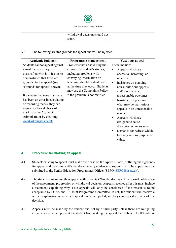

| withdrawal decision should not |  |
|--------------------------------|--|
| stand.                         |  |

## 3.3 The following are **not** grounds for appeal and will be rejected:

| Academic judgment                  | Programme management             | <b>Vexatious appeal</b>             |
|------------------------------------|----------------------------------|-------------------------------------|
| Students cannot appeal against     | Problems that arise during the   | These include:                      |
| a mark because they are            | course of a student's studies,   | Appeals which are                   |
| dissatisfied with it. It has to be | including problems with          | obsessive, harassing, or            |
| demonstrated that there are        | conveying information or         | repetitive                          |
| grounds for the appeal (see        | teaching, should be dealt with   | Insistence on pursuing<br>$\bullet$ |
| 'Grounds for appeal' above).       | at the time they occur. Students | non-meritorious appeals             |
|                                    | may use the Complaints Policy    | and/or unrealistic,                 |
| If a student believes that there   | if the problem is not rectified. | unreasonable outcomes               |
| has been an error in calculating   |                                  | Insistence on pursuing<br>$\bullet$ |
| or recording marks, they can       |                                  | what may be meritorious             |
| request a clerical check of        |                                  | appeals in an unreasonable          |
| marks via the Academic             |                                  | manner                              |
| Administrator by emailing          |                                  | Appeals which are                   |
| AcadAdmin@iis.ac.uk                |                                  | designed to cause                   |
|                                    |                                  | disruption or annoyance             |
|                                    |                                  | Demands for redress which           |
|                                    |                                  | lack any serious purpose or         |
|                                    |                                  | value.                              |

# **4 Procedure for making an appeal**

- 4.1 Students wishing to appeal must make their case on the Appeals Form, outlining their grounds for appeal and providing sufficient documentary evidence to support that. The appeal must be submitted to the Senior Education Programmes Officer (SEPO: [SEPO@iis.ac.uk\)](mailto:SEPO@iis.ac.uk).
- 4.2 The student must submit their appeal within twenty (20) calendar days of the formal notification of the assessment, progression or withdrawal decision. Appeals received after this must include a statement explaining why. Late appeals will only be considered if the reason is found acceptable by SOAS and IIS Joint Programme Committee. If not, the student will receive a written explanation of why their appeal has been rejected, and they can request a review of that decision.
- 4.3 Appeals must be made by the student and not by a third party unless there are mitigating circumstances which prevent the student from making the appeal themselves. The IIS will not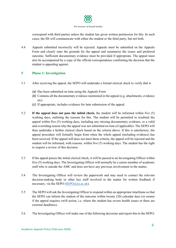

correspond with third parties unless the student has given written permission for this. In such cases, the IIS will communicate with either the student or the third party, but not both.

4.4 Appeals submitted incorrectly will be rejected. Appeals must be submitted on the Appeals Form and clearly state the grounds for the appeal and summarise the issues and preferred outcome. Sufficient documentary evidence must be provided if appropriate. The appeal must also be accompanied by a copy of the official correspondence confirming the decision that the student is appealing against.

# **5 Phase 1: Investigation**

- 5.1 After receiving the appeal, the SEPO will undertake a formal clerical check to verify that it:
	- *(a)* Has been submitted on time using the Appeals Form
	- *(b)* Contains all the documentary evidence mentioned in the appeal (e.g. attachments, evidence etc)
	- *(c)* If appropriate, includes evidence for later submission of the appeal.
- 5.2 **If the appeal does not pass the initial check,** the student will be informed within five (5) working days, outlining the reasons for this. The student will be permitted to resubmit the appeal within five (5) working days, including any missing documentary evidence, or a valid and overriding reason why the appeal was not submitted on time (if applicable). The SEPO will then undertake a further clerical check based on the criteria above. If this is satisfactory, the appeal procedure will formally begin from when the whole appeal (including evidence) has been received. If the appeal still does not meet these criteria, the appeal will be rejected and the student will be informed, with reasons, within five (5) working days. The student has the right to request a review of this decision.
- 5.3 If the appeal passes the initial clerical check, it will be passed to an Investigating Officer within five (5) working days. The Investigating Officer will normally be a senior member of academic staff who is outside the AMC and does not have any previous involvement in the matter.
- 5.4 The Investigating Officer will review the paperwork and may need to contact the relevant decision-making body or other key staff involved in the matter for written feedback if necessary, via the SEPO [\(SEPO@iis.ac.uk\)](mailto:SEPO@iis.ac.uk).
- 5.5 The SEPO will ask the Investigating Officer to respond within an appropriate timeframe so that the SEPO can inform the student of the outcome within twenty (20) calendar days (or sooner if the appeal requires swift action, i.e. where the student has severe health issues or there are external deadlines).
- 5.6 The Investigating Officer will make one of the following decisions and report this to the SEPO: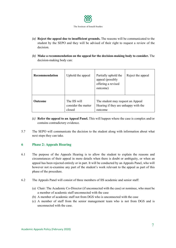

- *(a)* **Reject the appeal due to insufficient grounds.** The reasons will be communicated to the student by the SEPO and they will be advised of their right to request a review of the decision.
- *(b)* **Make a recommendation on the appeal for the decision-making body to consider.** The decision-making body can:

| Recommendation | Uphold the appeal                             | Partially uphold the<br>appeal (possibly<br>offering a revised<br>outcome)           | Reject the appeal |
|----------------|-----------------------------------------------|--------------------------------------------------------------------------------------|-------------------|
| <b>Outcome</b> | The IIS will<br>consider the matter<br>closed | The student may request an Appeal<br>Hearing if they are unhappy with the<br>outcome |                   |

- *(c)* **Refer the appeal to an Appeal Panel.** This will happen where the case is complex and/or contains contradictory evidence.
- 5.7 The SEPO will communicate the decision to the student along with information about what next steps they can take.

# **6 Phase 2: Appeals Hearing**

- 6.1 The purpose of the Appeals Hearing is to allow the student to explain the reasons and circumstances of their appeal in more details when there is doubt or ambiguity, or when an appeal has been rejected entirely or in part. It will be conducted by an Appeals Panel, who will however not re-examine any part of the student's work relevant to the appeal as part of this phase of the procedure.
- 6.2 The Appeals Panel will consist of three members of IIS academic and senior staff:
	- (a) Chair: The Academic Co-Director (if unconnected with the case) or nominee, who must be a member of academic staff unconnected with the case
	- (b) A member of academic staff not from DGS who is unconnected with the case
	- (c) A member of staff from the senior management team who is not from DGS and is unconnected with the case.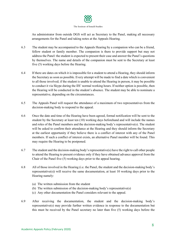

An administrator from outside DGS will act as Secretary to the Panel, making all necessary arrangements for the Panel and taking notes at the Appeals Hearing.

- 6.3 The student may be accompanied to the Appeals Hearing by a companion who can be a friend, fellow student or family member. The companion is there to provide support but may not address the Panel: the student is expected to present their case and answer the Panel's questions by themselves. The name and details of the companion must be sent to the Secretary at least five (5) working days before the Hearing.
- 6.4 If there are dates on which it is impossible for a student to attend a Hearing, they should inform the Secretary as soon as possible. Every attempt will be made to find a date which is convenient to all those involved; if the student is unable to attend the Hearing in person, it may be possible to conduct it via Skype during the IIS' normal working hours. If neither option is possible, then the Hearing will be conducted in the student's absence. The student may be able to nominate a representative, depending on the circumstances.
- 6.5 The Appeals Panel will request the attendance of a maximum of two representatives from the decision-making body to respond to the appeal.
- 6.6 Once the date and time of the Hearing have been agreed, formal notification will be sent to the student by the Secretary at least ten (10) working days beforehand and will include the names and roles of the Panel members and the decision-making body's representative(s). The student will be asked to confirm their attendance at the Hearing and they should inform the Secretary at the earliest opportunity if they believe there is a conflict of interest with any of the Panel members. If such a conflict of interest exists, an alternative Panel member will be found. This may require the Hearing to be postponed.
- 6.7 The student and the decision-making body's representative(s) have the right to call other people to attend the Hearing to present evidence only if they have obtained advance approval from the Chair of the Panel five (5) working days prior to the appeal hearing.
- 6.8 All of those involved in the Hearing (i.e. the Panel, the student and the decision-making body's representative(s)) will receive the same documentation, at least  $10$  working days prior to the Hearing namely:
	- (a) The written submission from the student
	- (b) The written submission of the decision-making body's representative(s)
	- (c) Any other documentation the Panel considers relevant to the appeal.
- 6.9 After receiving the documentation, the student and the decision-making body's representative(s) may provide further written evidence in response to the documentation but this must be received by the Panel secretary no later than five (5) working days before the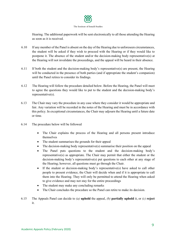

Hearing. The additional paperwork will be sent electronically to all those attending the Hearing as soon as it is received.

- 6.10 If any member of the Panel is absent on the day of the Hearing due to unforeseen circumstances, the student will be asked if they wish to proceed with the Hearing or if they would like to postpone it. The absence of the student and/or the decision-making body representative(s) at the Hearing will not invalidate the proceedings, and the appeal will be heard in their absence.
- 6.11 If both the student and the decision-making body's representative(s) are present, the Hearing will be conducted in the presence of both parties (and if appropriate the student's companion) until the Panel retires to consider its findings.
- 6.12 The Hearing will follow the procedure detailed below. Before the Hearing, the Panel will meet to agree the questions they would like to put to the student and the decision-making body's representative(s).
- 6.13 The Chair may vary the procedure in any case where they consider it would be appropriate and fair. Any variation will be recorded in the notes of the Hearing and must be in accordance with this policy. In exceptional circumstances, the Chair may adjourn the Hearing until a future date or time.
- 6.14 The procedure below will be followed
	- The Chair explains the process of the Hearing and all persons present introduce themselves
	- The student summarises the grounds for their appeal
	- The decision-making body representative(s) summarise their position on the appeal
	- The Panel puts questions to the student and the decision-making body's representative(s) as appropriate. The Chair may permit that either the student or the decision-making body's representative(s) put questions to each other at any stage of the Hearing; however, all questions must go through the Chair.
	- If the student or decision-making body's representative(s) have asked to call other people to present evidence, the Chair will decide when and if it is appropriate to call them into the Hearing. They will only be permitted to attend the Hearing when asked to give evidence and may not stay for the entire proceedings
	- The student may make any concluding remarks
	- The Chair concludes the procedure so the Panel can retire to make its decision.
- 6.15 The Appeals Panel can decide to *(a)* **uphold** the appeal, *(b)* **partially uphold** it, or *(c)* **reject** it.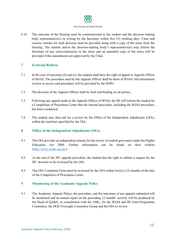

6.16 The outcome of the Hearing must be communicated to the student and the decision making body representative(s) in writing by the Secretary within five (5) working days. Clear and concise reasons for each decision must be provided along with a copy of the notes from the Hearing. The student and/or the decision-making body's representative(s) may inform the Secretary of any errors/omissions in the notes and an amended copy of the notes will be provided if the amendments are approved by the Chair.

# **7 External Redress**

- 7.1 In the case of outcomes (b) and (c), the student shall have the right of appeal to Appeals Officer of SOAS. The procedure used by the Appeals Officer shall be those of SOAS: full information on how to access said procedure will be provided by the SEPO.
- 7.2 The decision of the Appeals Officer shall be final and binding on all parties.
- 7.3 Following any appeal made to the Appeals Officer of SOAS, the IIS will inform the student by a Completion of Procedures Letter that the internal procedure, including the SOAS procedure, has been completed.
- 7.4 The student may then ask for a review by the Office of the Independent Adjudicator (OIA), within the timelines specified by the OIA.

# **8 Office of the Independent Adjudicator (OIA)**

- 8.1 The OIA provides an independent scheme for the review of student grievances under the Higher Education Act 2004. Further information can be found on their website [\(http://www.oiahe.org.uk/\).](http://www.oiahe.org.uk/)
- 8.2 At the end of the IIS' appeals procedure, the student has the right to submit a request for the IIS' decision to be reviewed by the OIA.
- 8.3 The OIA Complaint Form must be reviewed by the OIA within twelve (12) months of the date of the Completion of Procedures Letter.

# **9 Monitoring of the Academic Appeals Policy**

9.1 The Academic Appeals Policy, the procedure, and the outcomes of any appeals submitted will be monitored and an annual report on the preceding 12 months' activity will be produced by the Head of QA&E, in consultation with the AMC, for the SOAS and IIS Joint Programme Committee, the DGS Oversight Committee Group and the OIA to review.